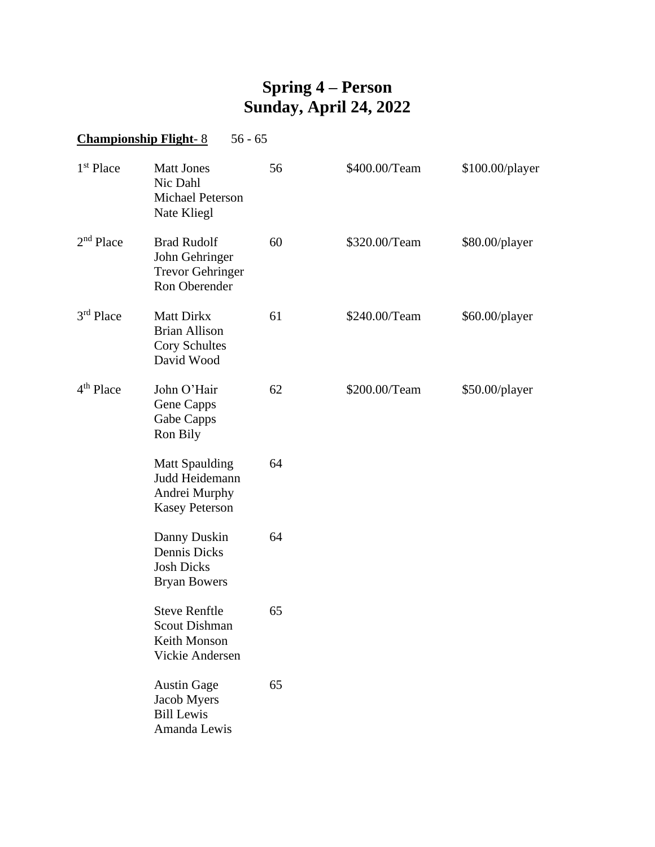## **Spring 4 – Person Sunday, April 24, 2022**

## **Championship Flight-8** 56 - 65

| 1 <sup>st</sup> Place | <b>Matt Jones</b><br>Nic Dahl<br><b>Michael Peterson</b><br>Nate Kliegl           | 56 | \$400.00/Team | \$100.00/player |
|-----------------------|-----------------------------------------------------------------------------------|----|---------------|-----------------|
| 2 <sup>nd</sup> Place | <b>Brad Rudolf</b><br>John Gehringer<br><b>Trevor Gehringer</b><br>Ron Oberender  | 60 | \$320.00/Team | \$80.00/player  |
| $3rd$ Place           | <b>Matt Dirkx</b><br><b>Brian Allison</b><br><b>Cory Schultes</b><br>David Wood   | 61 | \$240.00/Team | \$60.00/player  |
| 4 <sup>th</sup> Place | John O'Hair<br>Gene Capps<br>Gabe Capps<br>Ron Bily                               | 62 | \$200.00/Team | \$50.00/player  |
|                       | <b>Matt Spaulding</b><br>Judd Heidemann<br>Andrei Murphy<br><b>Kasey Peterson</b> | 64 |               |                 |
|                       | Danny Duskin<br>Dennis Dicks<br><b>Josh Dicks</b><br><b>Bryan Bowers</b>          | 64 |               |                 |
|                       | <b>Steve Renftle</b><br><b>Scout Dishman</b><br>Keith Monson<br>Vickie Andersen   | 65 |               |                 |
|                       | <b>Austin Gage</b><br>Jacob Myers<br><b>Bill Lewis</b><br>Amanda Lewis            | 65 |               |                 |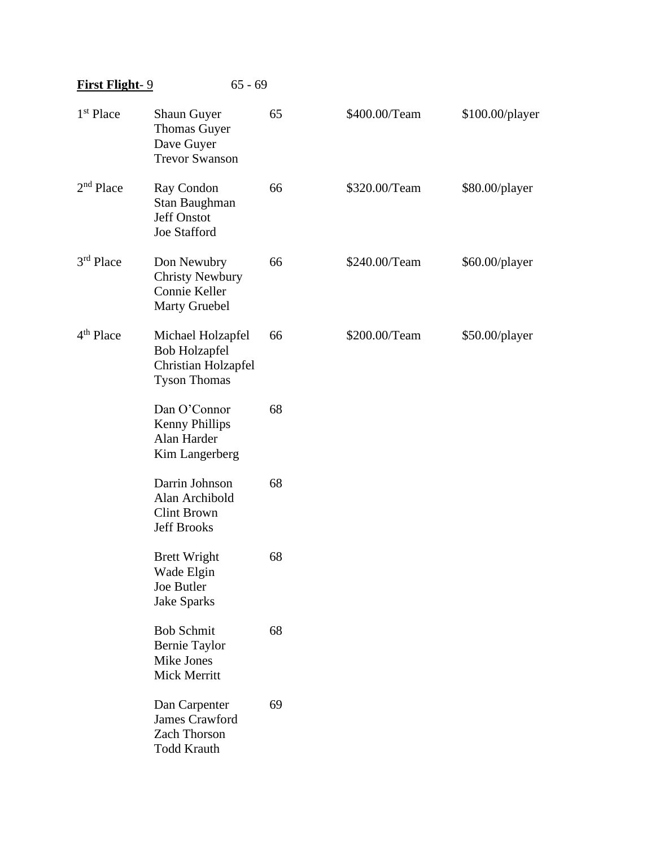| <b>First Flight-9</b> |                                                                                         | $65 - 69$ |               |                 |
|-----------------------|-----------------------------------------------------------------------------------------|-----------|---------------|-----------------|
| 1 <sup>st</sup> Place | <b>Shaun Guyer</b><br><b>Thomas Guyer</b><br>Dave Guyer<br><b>Trevor Swanson</b>        | 65        | \$400.00/Team | \$100.00/player |
| 2 <sup>nd</sup> Place | Ray Condon<br>Stan Baughman<br><b>Jeff Onstot</b><br><b>Joe Stafford</b>                | 66        | \$320.00/Team | \$80.00/player  |
| $3rd$ Place           | Don Newubry<br><b>Christy Newbury</b><br>Connie Keller<br><b>Marty Gruebel</b>          | 66        | \$240.00/Team | \$60.00/player  |
| 4 <sup>th</sup> Place | Michael Holzapfel<br><b>Bob Holzapfel</b><br>Christian Holzapfel<br><b>Tyson Thomas</b> | 66        | \$200.00/Team | \$50.00/player  |
|                       | Dan O'Connor<br><b>Kenny Phillips</b><br>Alan Harder<br>Kim Langerberg                  | 68        |               |                 |
|                       | Darrin Johnson<br>Alan Archibold<br><b>Clint Brown</b><br><b>Jeff Brooks</b>            | 68        |               |                 |
|                       | <b>Brett Wright</b><br>Wade Elgin<br>Joe Butler<br><b>Jake Sparks</b>                   | 68        |               |                 |
|                       | <b>Bob Schmit</b><br><b>Bernie Taylor</b><br>Mike Jones<br>Mick Merritt                 | 68        |               |                 |
|                       | Dan Carpenter<br>James Crawford<br><b>Zach Thorson</b><br><b>Todd Krauth</b>            | 69        |               |                 |